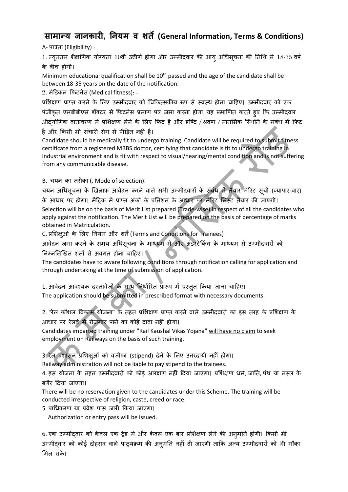## **सामान्य जानकारी, ननयम व शर्ते (General Information, Terms & Conditions)**

A- पात्रता (Eligibility) :

1. न्यूनतम शैक्षणिक योग्यता 10वीं उत्तीर्ण होगा और उम्मीदवार की आयु अधिसूचना की तिथि से 18-35 वर्ष के बीच होगी।

Minimum educational qualification shall be  $10<sup>th</sup>$  passed and the age of the candidate shall be between 18-35 years on the date of the notification.

2. मेडिकल फिटनेस (Medical fitness): -

प्रशिक्षण प्राप्त करने के लिए उम्मीदवार को चिकित्सकीय रूप से स्वस्थ होना चाहिए। उम्मीदवार को एक पंजीकृत एमबीबीएस डॉक्टर से फिटनेस प्रमाण पत्र जमा करना होगा, यह प्रमाणित करते हुए कि उम्मीदवार औदयोगिक वातावरण में प्रशिक्षण लेने के लिए फिट है और दृष्टि / श्रवण / मानसिक स्थिति के संबंध में फिट है और किसी भी संचारी रोग से पीड़ित नहीं है।

Candidate should be medically fit to undergo training. Candidate will be required to submit fitness certificate from a registered MBBS doctor, certifying that candidate is fit to undergo training in industrial environment and is fit with respect to visual/hearing/mental condition and is not suffering from any communicable disease.

B. चयन का तरीका (. Mode of selection):

चयन अधिसूचना के खिलाफ आवेदन करने वाले सभी उम्मीदवारों के संबंध में तैयार मेरिट सूची (व्यापार-वार) के आधार पर होगा। मैट्रिक में प्राप्त अंकों के प्रतिशत के आधार पर मेरिट लिस्ट तैयार की जाएगी। Selection will be on the basis of Merit List prepared (Trade-wise) in respect of all the candidates who apply against the notification. The Merit List will be prepared on the basis of percentage of marks obtained in Matriculation.

C. प्रशशक्षुओीं के शलए तनयम और शतें(Terms and Conditions for Trainees) :

आवेदन जमा करने के समय अधिसूचना के माध्यम से और अंडरटेकिंग के माध्यम से उम्मीदवारों को निम्नलिखित शर्तों से अवगत होना चाहिए।  $\blacklozenge$ 

The candidates have to aware following conditions through notification calling for application and through undertaking at the time of submission of application.

1. आवेदन आवश्यक दस्तावेजों के साथ निर्धारित प्रारूप में प्रस्तुत किया जाना चाहिए।

The application should be submitted in prescribed format with necessary documents.

2. "रेल कौशल विकास योजना" के तहत प्रशिक्षण प्राप्त करने वाले उम्मीदवारों का इस तरह के प्रशिक्षण के आधार पर रेलवे में रोजगार पाने का कोई दावा नहीं होगा।

Candidates imparted training under "Rail Kaushal Vikas Yojana" will have no claim to seek employment on Railways on the basis of such training.

3. रेल प्रशासन प्रशिक्षुओं को वजीफा (stipend) देने के लिए उत्तरदायी नहीं होगा।

Railway administration will not be liable to pay stipend to the trainees.

4. इस योजना के तहत उम्मीदवारों को कोई आरक्षण नहीं दिया जाएगा। प्रशिक्षण धर्म, जाति, पंथ या नस्ल के बगैर हदया जाएगा।

There will be no reservation given to the candidates under this Scheme. The training will be conducted irrespective of religion, caste, creed or race.

5. प्राधिकरि या प्रवेश पास जारी फकया जाएगा।

Authorization or entry pass will be issued.

6. एक उम्मीदवार को केवल एक ट्रेड में और केवल एक बार प्रशिक्षण लेने की अनुमति होगी। किसी भी उम्मीदवार को कोई दोहराव वाले पाठ्यक्रम की अनुमति नहीं दी जाएगी ताकि अन्य उम्मीदवारों को भी मौका शमल सके ।